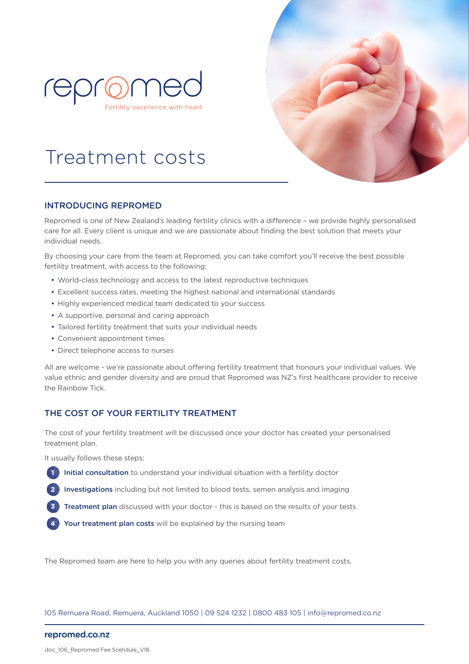



# Treatment costs

### INTRODUCING REPROMED

Repromed is one of New Zealand's leading fertility clinics with a difference – we provide highly personalised care for all. Every client is unique and we are passionate about finding the best solution that meets your individual needs.

By choosing your care from the team at Repromed, you can take comfort you'll receive the best possible fertility treatment, with access to the following:

- World-class technology and access to the latest reproductive techniques
- Excellent success rates, meeting the highest national and international standards
- Highly experienced medical team dedicated to your success
- A supportive, personal and caring approach
- Tailored fertility treatment that suits your individual needs
- Convenient appointment times
- Direct telephone access to nurses

All are welcome - we're passionate about offering fertility treatment that honours your individual values. We value ethnic and gender diversity and are proud that Repromed was NZ's first healthcare provider to receive the Rainbow Tick.

### THE COST OF YOUR FERTILITY TREATMENT

The cost of your fertility treatment will be discussed once your doctor has created your personalised treatment plan.

It usually follows these steps:

- Initial consultation to understand your individual situation with a fertility doctor **1**
- Investigations including but not limited to blood tests, semen analysis and imaging **2**
- Treatment plan discussed with your doctor this is based on the results of your tests **3**
- Your treatment plan costs will be explained by the nursing team **4**

The Repromed team are here to help you with any queries about fertility treatment costs.

105 Remuera Road, Remuera, Auckland 1050 | 09 524 1232 | 0800 483 105 | info@repromed.co.nz

### repromed.co.nz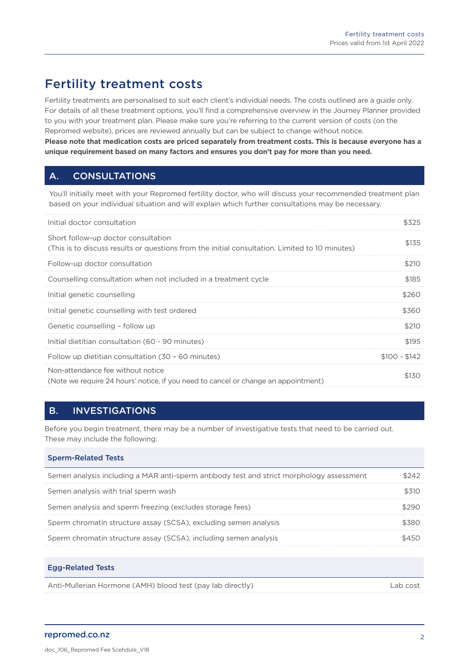# Fertility treatment costs

Fertility treatments are personalised to suit each client's individual needs. The costs outlined are a guide only. For details of all these treatment options, you'll find a comprehensive overview in the Journey Planner provided to you with your treatment plan. Please make sure you're referring to the current version of costs (on the Repromed website), prices are reviewed annually but can be subject to change without notice. **Please note that medication costs are priced separately from treatment costs. This is because everyone has a unique requirement based on many factors and ensures you don't pay for more than you need.**

# A. CONSULTATIONS

You'll initially meet with your Repromed fertility doctor, who will discuss your recommended treatment plan based on your individual situation and will explain which further consultations may be necessary.

| Initial doctor consultation                                                                                                           | \$325         |
|---------------------------------------------------------------------------------------------------------------------------------------|---------------|
| Short follow-up doctor consultation<br>(This is to discuss results or questions from the initial consultation. Limited to 10 minutes) | \$135         |
| Follow-up doctor consultation                                                                                                         | \$210         |
| Counselling consultation when not included in a treatment cycle                                                                       | \$185         |
| Initial genetic counselling                                                                                                           | S26C          |
| Initial genetic counselling with test ordered                                                                                         | \$360         |
| Genetic counselling - follow up                                                                                                       | \$210         |
| Initial dietitian consultation (60 - 90 minutes)                                                                                      | \$195         |
| Follow up dietitian consultation (30 - 60 minutes)                                                                                    | $$100 - $142$ |
| Non-attendance fee without notice<br>(Note we require 24 hours' notice, if you need to cancel or change an appointment)               | 5130          |

## B. INVESTIGATIONS

Before you begin treatment, there may be a number of investigative tests that need to be carried out. These may include the following:

| <b>Sperm-Related Tests</b> |  |  |
|----------------------------|--|--|
|----------------------------|--|--|

| Semen analysis including a MAR anti-sperm antibody test and strict morphology assessment |  |
|------------------------------------------------------------------------------------------|--|
| Semen analysis with trial sperm wash                                                     |  |
| Semen analysis and sperm freezing (excludes storage fees)                                |  |
| Sperm chromatin structure assay (SCSA), excluding semen analysis                         |  |
| Sperm chromatin structure assay (SCSA), including semen analysis                         |  |

|                                                            | Egg-Related lests |          |
|------------------------------------------------------------|-------------------|----------|
| Anti-Mullerian Hormone (AMH) blood test (pay lab directly) |                   | Lab cost |

### repromed.co.nz

Egg-Related Tests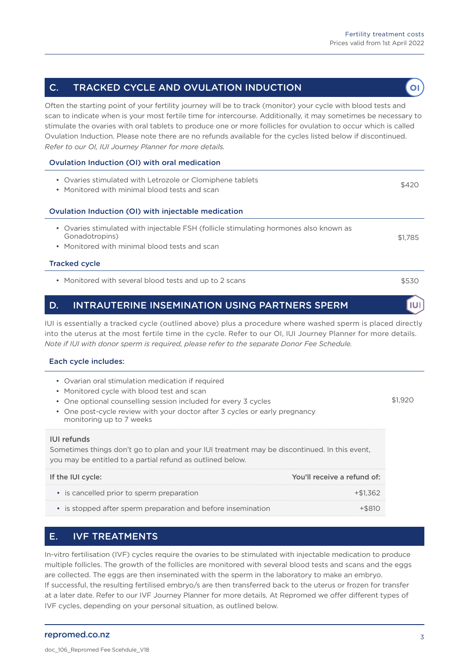$\overline{O}$ 

### C. TRACKED CYCLE AND OVULATION INDUCTION

Often the starting point of your fertility journey will be to track (monitor) your cycle with blood tests and scan to indicate when is your most fertile time for intercourse. Additionally, it may sometimes be necessary to stimulate the ovaries with oral tablets to produce one or more follicles for ovulation to occur which is called Ovulation Induction. Please note there are no refunds available for the cycles listed below if discontinued. *Refer to our OI, IUI Journey Planner for more details.* 

### Ovulation Induction (OI) with oral medication

| • Ovaries stimulated with Letrozole or Clomiphene tablets<br>Monitored with minimal blood tests and scan<br>$\bullet$                                               | \$420   |
|---------------------------------------------------------------------------------------------------------------------------------------------------------------------|---------|
| Ovulation Induction (OI) with injectable medication                                                                                                                 |         |
| Ovaries stimulated with injectable FSH (follicle stimulating hormones also known as<br>$\bullet$<br>Gonadotropins)<br>• Monitored with minimal blood tests and scan | \$1,785 |
| <b>Tracked cycle</b>                                                                                                                                                |         |
| • Monitored with several blood tests and up to 2 scans                                                                                                              | \$530   |
| <b>INTRAUTERINE INSEMINATION USING PARTNERS SPERM</b><br>D.                                                                                                         |         |

IUI is essentially a tracked cycle (outlined above) plus a procedure where washed sperm is placed directly into the uterus at the most fertile time in the cycle. Refer to our OI, IUI Journey Planner for more details. *Note if IUI with donor sperm is required, please refer to the separate Donor Fee Schedule.*

### Each cycle includes:

| • Ovarian oral stimulation medication if required<br>• Monitored cycle with blood test and scan<br>• One optional counselling session included for every 3 cycles<br>• One post-cycle review with your doctor after 3 cycles or early pregnancy<br>monitoring up to 7 weeks<br>IUI refunds |                             |  |
|--------------------------------------------------------------------------------------------------------------------------------------------------------------------------------------------------------------------------------------------------------------------------------------------|-----------------------------|--|
| Sometimes things don't go to plan and your IUI treatment may be discontinued. In this event,<br>you may be entitled to a partial refund as outlined below.                                                                                                                                 |                             |  |
| If the IUI cycle:                                                                                                                                                                                                                                                                          | You'll receive a refund of: |  |

| • is cancelled prior to sperm preparation                    | +\$1362   |
|--------------------------------------------------------------|-----------|
| • is stopped after sperm preparation and before insemination | $+$ \$810 |

## E. IVF TREATMENTS

In-vitro fertilisation (IVF) cycles require the ovaries to be stimulated with injectable medication to produce multiple follicles. The growth of the follicles are monitored with several blood tests and scans and the eggs are collected. The eggs are then inseminated with the sperm in the laboratory to make an embryo. If successful, the resulting fertilised embryo/s are then transferred back to the uterus or frozen for transfer at a later date. Refer to our IVF Journey Planner for more details. At Repromed we offer different types of IVF cycles, depending on your personal situation, as outlined below.

### repromed.co.nz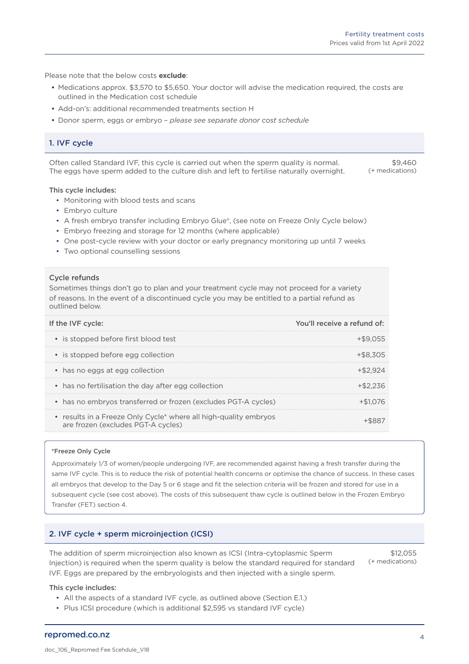Please note that the below costs **exclude**:

- Medications approx. \$3,570 to \$5,650. Your doctor will advise the medication required, the costs are outlined in the Medication cost schedule
- Add-on's: additional recommended treatments section H
- Donor sperm, eggs or embryo *please see separate donor cost schedule*

### 1. IVF cycle

Often called Standard IVF, this cycle is carried out when the sperm quality is normal. The eggs have sperm added to the culture dish and left to fertilise naturally overnight.

 $$9,460$ (+ medications)

#### This cycle includes:

- Monitoring with blood tests and scans
- Embryo culture
- A fresh embryo transfer including Embryo Glue®, (see note on Freeze Only Cycle below)
- Embryo freezing and storage for 12 months (where applicable)
- One post-cycle review with your doctor or early pregnancy monitoring up until 7 weeks
- Two optional counselling sessions

#### Cycle refunds

Sometimes things don't go to plan and your treatment cycle may not proceed for a variety of reasons. In the event of a discontinued cycle you may be entitled to a partial refund as outlined below.

| If the IVF cycle:                                                                                      | You'll receive a refund of: |
|--------------------------------------------------------------------------------------------------------|-----------------------------|
| • is stopped before first blood test                                                                   |                             |
| • is stopped before egg collection                                                                     |                             |
| • has no eggs at egg collection                                                                        |                             |
| • has no fertilisation the day after egg collection                                                    |                             |
| • has no embryos transferred or frozen (excludes PGT-A cycles)                                         |                             |
| • results in a Freeze Only Cycle* where all high-quality embryos<br>are frozen (excludes PGT-A cycles) |                             |

#### \*Freeze Only Cycle

Approximately 1/3 of women/people undergoing IVF, are recommended against having a fresh transfer during the same IVF cycle. This is to reduce the risk of potential health concerns or optimise the chance of success. In these cases all embryos that develop to the Day 5 or 6 stage and fit the selection criteria will be frozen and stored for use in a subsequent cycle (see cost above). The costs of this subsequent thaw cycle is outlined below in the Frozen Embryo Transfer (FET) section 4.

### 2. IVF cycle + sperm microinjection (ICSI)

The addition of sperm microinjection also known as ICSI (Intra-cytoplasmic Sperm Injection) is required when the sperm quality is below the standard required for standard IVF. Eggs are prepared by the embryologists and then injected with a single sperm.

\$12,055 (+ medications)

#### This cycle includes:

- All the aspects of a standard IVF cycle, as outlined above (Section E.1.)
- Plus ICSI procedure (which is additional \$2,595 vs standard IVF cycle)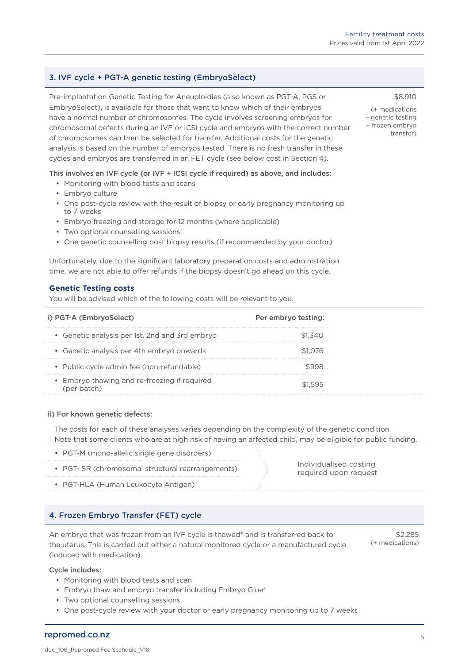# 3. IVF cycle + PGT-A genetic testing (EmbryoSelect)

Pre-implantation Genetic Testing for Aneuploidies (also known as PGT-A, PGS or EmbryoSelect), is available for those that want to know which of their embryos have a normal number of chromosomes. The cycle involves screening embryos for chromosomal defects during an IVF or ICSI cycle and embryos with the correct number of chromosomes can then be selected for transfer. Additional costs for the genetic analysis is based on the number of embryos tested. There is no fresh transfer in these cycles and embryos are transferred in an FET cycle (see below cost in Section 4).

This involves an IVF cycle (or IVF + ICSI cycle if required) as above, and includes:

- Monitoring with blood tests and scans
- Embryo culture
- One post-cycle review with the result of biopsy or early pregnancy monitoring up to 7 weeks
- Embryo freezing and storage for 12 months (where applicable)
- Two optional counselling sessions
- One genetic counselling post biopsy results (if recommended by your doctor)

Unfortunately, due to the significant laboratory preparation costs and administration time, we are not able to offer refunds if the biopsy doesn't go ahead on this cycle.

### **Genetic Testing costs**

You will be advised which of the following costs will be relevant to you.

| i) PGT-A (EmbryoSelect)                        | Per embryo testing: |
|------------------------------------------------|---------------------|
| • Genetic analysis per 1st, 2nd and 3rd embryo | ST 340              |
| • Genetic analysis per 4th embryo onwards      |                     |
| • Public cycle admin fee (non-refundable)      |                     |
| • Embryo thawing and re-freezing if required   |                     |

### ii) For known genetic defects:

The costs for each of these analyses varies depending on the complexity of the genetic condition. Note that some clients who are at high risk of having an affected child, may be eligible for public funding.

- PGT-M (mono-allelic single gene disorders)
- PGT- SR (chromosomal structural rearrangements)
- PGT-HLA (Human Leukocyte Antigen)

## 4. Frozen Embryo Transfer (FET) cycle

An embryo that was frozen from an IVF cycle is thawed\* and is transferred back to the uterus. This is carried out either a natural monitored cycle or a manufactured cycle (induced with medication).

\$2,285 (+ medications)

Individualised costing required upon request

### Cycle includes:

repromed.co.nz

- Monitoring with blood tests and scan
- Embryo thaw and embryo transfer including Embryo Glue®
- Two optional counselling sessions
- One post-cycle review with your doctor or early pregnancy monitoring up to 7 weeks

(+ medications + genetic testing + frozen embryo transfer)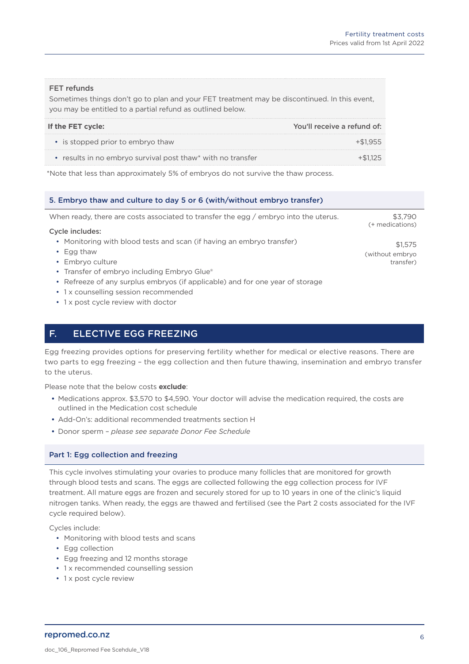(without embryo transfer)

#### FET refunds

Sometimes things don't go to plan and your FET treatment may be discontinued. In this event, you may be entitled to a partial refund as outlined below.

| If the FET cycle:                                           | You'll receive a refund of: |
|-------------------------------------------------------------|-----------------------------|
| • is stopped prior to embryo thaw                           | $+51955$                    |
| • results in no embryo survival post thaw* with no transfer |                             |

\*Note that less than approximately 5% of embryos do not survive the thaw process.

### 5. Embryo thaw and culture to day 5 or 6 (with/without embryo transfer)

When ready, there are costs associated to transfer the egg / embryo into the uterus. Cycle includes: • Monitoring with blood tests and scan (if having an embryo transfer) \$3,790 (+ medications) \$1,575

- Egg thaw
- Embryo culture
- Transfer of embryo including Embryo Glue®
- Refreeze of any surplus embryos (if applicable) and for one year of storage
- 1 x counselling session recommended
- 1 x post cycle review with doctor

### F. ELECTIVE EGG FREEZING

Egg freezing provides options for preserving fertility whether for medical or elective reasons. There are two parts to egg freezing – the egg collection and then future thawing, insemination and embryo transfer to the uterus.

Please note that the below costs **exclude**:

- Medications approx. \$3,570 to \$4,590. Your doctor will advise the medication required, the costs are outlined in the Medication cost schedule
- Add-On's: additional recommended treatments section H
- Donor sperm *please see separate Donor Fee Schedule*

### Part 1: Egg collection and freezing

This cycle involves stimulating your ovaries to produce many follicles that are monitored for growth through blood tests and scans. The eggs are collected following the egg collection process for IVF treatment. All mature eggs are frozen and securely stored for up to 10 years in one of the clinic's liquid nitrogen tanks. When ready, the eggs are thawed and fertilised (see the Part 2 costs associated for the IVF cycle required below).

Cycles include:

- Monitoring with blood tests and scans
- Egg collection
- Egg freezing and 12 months storage
- 1 x recommended counselling session
- 1 x post cycle review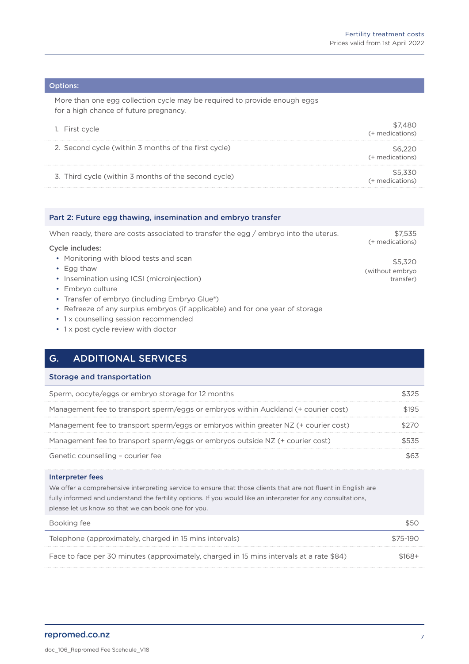#### Options:

More than one egg collection cycle may be required to provide enough eggs for a high chance of future pregnancy.

| 1. First cycle                                       | (+ medications) |
|------------------------------------------------------|-----------------|
| 2. Second cycle (within 3 months of the first cycle) | (+ medications) |
| 3. Third cycle (within 3 months of the second cycle) | (+ medications) |

| Part 2: Future egg thawing, insemination and embryo transfer                         |                            |
|--------------------------------------------------------------------------------------|----------------------------|
| When ready, there are costs associated to transfer the egg / embryo into the uterus. | \$7.535<br>(+ medications) |
| Cycle includes:                                                                      |                            |
| • Monitoring with blood tests and scan                                               | \$5,320                    |
| $\cdot$ Egg thaw                                                                     | (without embryo            |
| • Insemination using ICSI (microinjection)                                           | transfer)                  |
| Embryo culture                                                                       |                            |

- Transfer of embryo (including Embryo Glue®)
- Refreeze of any surplus embryos (if applicable) and for one year of storage
- 1 x counselling session recommended
- 1 x post cycle review with doctor

### G. ADDITIONAL SERVICES

### Storage and transportation

| Sperm, oocyte/eggs or embryo storage for 12 months                                   |  |
|--------------------------------------------------------------------------------------|--|
| Management fee to transport sperm/eggs or embryos within Auckland (+ courier cost)   |  |
| Management fee to transport sperm/eggs or embryos within greater NZ (+ courier cost) |  |
| Management fee to transport sperm/eggs or embryos outside NZ (+ courier cost)        |  |
| Genetic counselling - courier fee                                                    |  |

#### Interpreter fees

We offer a comprehensive interpreting service to ensure that those clients that are not fluent in English are fully informed and understand the fertility options. If you would like an interpreter for any consultations, please let us know so that we can book one for you.

| Booking fee                                                                              | \$50     |
|------------------------------------------------------------------------------------------|----------|
| Telephone (approximately, charged in 15 mins intervals)                                  | \$75-190 |
| Face to face per 30 minutes (approximately, charged in 15 mins intervals at a rate \$84) | \$168+   |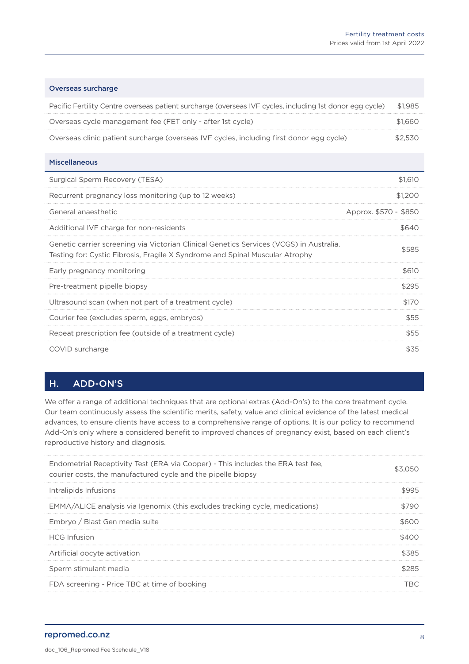| <b>Overseas surcharge</b>                                                                                                                                               |                       |
|-------------------------------------------------------------------------------------------------------------------------------------------------------------------------|-----------------------|
| Pacific Fertility Centre overseas patient surcharge (overseas IVF cycles, including 1st donor egg cycle)                                                                | \$1,985               |
| Overseas cycle management fee (FET only - after 1st cycle)                                                                                                              | \$1,660               |
| Overseas clinic patient surcharge (overseas IVF cycles, including first donor egg cycle)                                                                                | \$2,530               |
| <b>Miscellaneous</b>                                                                                                                                                    |                       |
| Surgical Sperm Recovery (TESA)                                                                                                                                          | \$1,610               |
| Recurrent pregnancy loss monitoring (up to 12 weeks)                                                                                                                    | \$1,200               |
| General anaesthetic                                                                                                                                                     | Approx, \$570 - \$850 |
| Additional IVF charge for non-residents                                                                                                                                 | \$640                 |
| Genetic carrier screening via Victorian Clinical Genetics Services (VCGS) in Australia.<br>Testing for: Cystic Fibrosis, Fragile X Syndrome and Spinal Muscular Atrophy | \$585                 |
| Early pregnancy monitoring                                                                                                                                              | \$610                 |
| Pre-treatment pipelle biopsy                                                                                                                                            | \$295                 |
| Ultrasound scan (when not part of a treatment cycle)                                                                                                                    | \$170                 |
| Courier fee (excludes sperm, eggs, embryos)                                                                                                                             | \$55                  |
| Repeat prescription fee (outside of a treatment cycle)                                                                                                                  | \$55                  |
| COVID surcharge                                                                                                                                                         | \$35                  |

## H. ADD-ON'S

We offer a range of additional techniques that are optional extras (Add-On's) to the core treatment cycle. Our team continuously assess the scientific merits, safety, value and clinical evidence of the latest medical advances, to ensure clients have access to a comprehensive range of options. It is our policy to recommend Add-On's only where a considered benefit to improved chances of pregnancy exist, based on each client's reproductive history and diagnosis.

| Endometrial Receptivity Test (ERA via Cooper) - This includes the ERA test fee.<br>courier costs, the manufactured cycle and the pipelle biopsy |     |
|-------------------------------------------------------------------------------------------------------------------------------------------------|-----|
| Intralipids Infusions                                                                                                                           | ччч |
| EMMA/ALICE analysis via Igenomix (this excludes tracking cycle, medications)                                                                    |     |
| Embryo / Blast Gen media suite                                                                                                                  |     |
| <b>HCG</b> Infusion                                                                                                                             |     |
| Artificial oocyte activation                                                                                                                    | 385 |
| Sperm stimulant media                                                                                                                           |     |
| FDA screening - Price TBC at time of booking                                                                                                    |     |

### repromed.co.nz